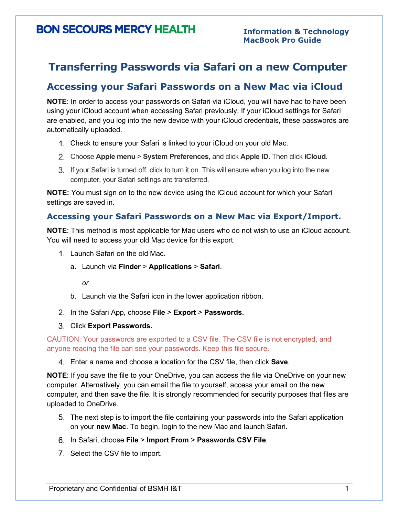## **BON SECOURS MERCY HEALTH**

### **Transferring Passwords via Safari on a new Computer**

### **Accessing your Safari Passwords on a New Mac via iCloud**

**NOTE**: In order to access your passwords on Safari via iCloud, you will have had to have been using your iCloud account when accessing Safari previously. If your iCloud settings for Safari are enabled, and you log into the new device with your iCloud credentials, these passwords are automatically uploaded.

- Check to ensure your Safari is linked to your iCloud on your old Mac.
- Choose **Apple menu** > **System Preferences**, and click **Apple ID**. Then click **iCloud**.
- If your Safari is turned off, click to turn it on. This will ensure when you log into the new computer, your Safari settings are transferred.

**NOTE:** You must sign on to the new device using the iCloud account for which your Safari settings are saved in.

### **Accessing your Safari Passwords on a New Mac via Export/Import.**

**NOTE**: This method is most applicable for Mac users who do not wish to use an iCloud account. You will need to access your old Mac device for this export.

- 1. Launch Safari on the old Mac.
	- a. Launch via **Finder** > **Applications** > **Safari**.

*or*

- b. Launch via the Safari icon in the lower application ribbon.
- In the Safari App, choose **File** > **Export** > **Passwords.**
- Click **Export Passwords.**

CAUTION: Your passwords are exported to a CSV file. The CSV file is not encrypted, and anyone reading the file can see your passwords. Keep this file secure.

Enter a name and choose a location for the CSV file, then click **Save**.

**NOTE**: If you save the file to your OneDrive, you can access the file via OneDrive on your new computer. Alternatively, you can email the file to yourself, access your email on the new computer, and then save the file. It is strongly recommended for security purposes that files are uploaded to OneDrive.

- The next step is to import the file containing your passwords into the Safari application on your **new Mac**. To begin, login to the new Mac and launch Safari.
- In Safari, choose **File** > **Import From** > **Passwords CSV File**.
- 7. Select the CSV file to import.